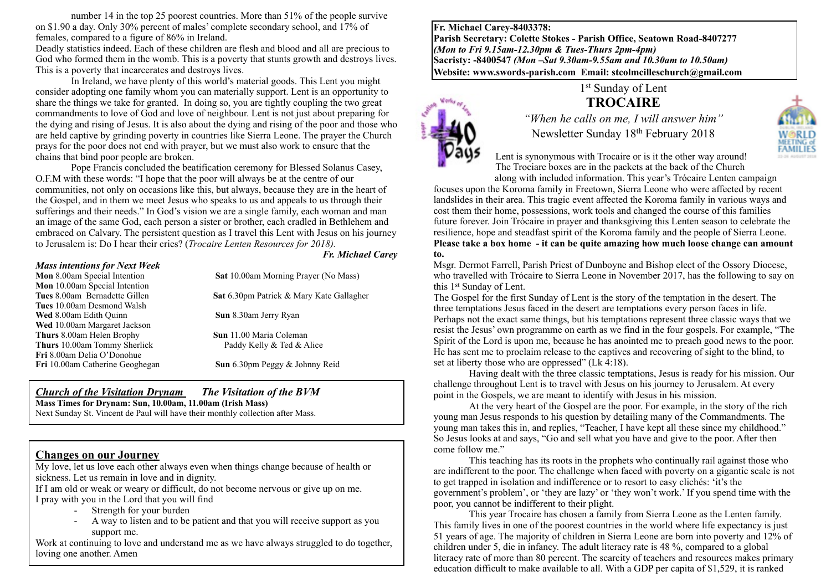number 14 in the top 25 poorest countries. More than 51% of the people survive on \$1.90 a day. Only 30% percent of males' complete secondary school, and 17% of females, compared to a figure of 86% in Ireland.

Deadly statistics indeed. Each of these children are flesh and blood and all are precious to God who formed them in the womb. This is a poverty that stunts growth and destroys lives. This is a poverty that incarcerates and destroys lives.

In Ireland, we have plenty of this world's material goods. This Lent you might consider adopting one family whom you can materially support. Lent is an opportunity to share the things we take for granted. In doing so, you are tightly coupling the two great commandments to love of God and love of neighbour. Lent is not just about preparing for the dying and rising of Jesus. It is also about the dying and rising of the poor and those who are held captive by grinding poverty in countries like Sierra Leone. The prayer the Church prays for the poor does not end with prayer, but we must also work to ensure that the chains that bind poor people are broken.

Pope Francis concluded the beatification ceremony for Blessed Solanus Casey, O.F.M with these words: "I hope that the poor will always be at the centre of our communities, not only on occasions like this, but always, because they are in the heart of the Gospel, and in them we meet Jesus who speaks to us and appeals to us through their sufferings and their needs." In God's vision we are a single family, each woman and man an image of the same God, each person a sister or brother, each cradled in Bethlehem and embraced on Calvary. The persistent question as I travel this Lent with Jesus on his journey to Jerusalem is: Do I hear their cries? (*Trocaire Lenten Resources for 2018).*

#### *Mass intentions for Next Week*

**Mon** 10.00am Special Intention **Tues** 10.00am Desmond Walsh **Wed** 8.00am Edith Quinn **Sun 8.30am Jerry Ryan Wed** 10.00am Margaret Jackson **Thurs** 8.00am Helen Brophy **Sun** 11.00 Maria Coleman **Thurs** 10.00am Tommy Sherlick Paddy Kelly & Ted & Alice **Fri** 8.00am Delia O'Donohue **Fri** 10.00am Catherine Geoghegan **Sun** 6.30pm Peggy & Johnny Reid

**Mon** 8.00am Special Intention **Sat** 10.00am Morning Prayer (No Mass)

*Fr. Michael Carey*

**Tues** 8.00am Bernadette Gillen **Sat** 6.30pm Patrick & Mary Kate Gallagher

#### *Church of the Visitation Drynam**The Visitation of the BVM*

**Mass Times for Drynam: Sun, 10.00am, 11.00am (Irish Mass)**

Next Sunday St. Vincent de Paul will have their monthly collection after Mass.

## **Changes on our Journey**

My love, let us love each other always even when things change because of health or sickness. Let us remain in love and in dignity.

If I am old or weak or weary or difficult, do not become nervous or give up on me. I pray with you in the Lord that you will find

- Strength for your burden
- A way to listen and to be patient and that you will receive support as you support me.

Work at continuing to love and understand me as we have always struggled to do together, loving one another. Amen

**Fr. Michael Carey-8403378: Parish Secretary: Colette Stokes - Parish Office, Seatown Road-8407277**  *(Mon to Fri 9.15am-12.30pm & Tues-Thurs 2pm-4pm)*  **Sacristy: -8400547** *(Mon –Sat 9.30am-9.55am and 10.30am to 10.50am)* **Website: [www.swords-parish.com Email:](http://www.swords-parish.com%20%20email) stcolmcilleschurch@gmail.com**



## 1<sup>st</sup> Sunday of Lent **TROCAIRE**

*"When he calls on me, I will answer him"*  Newsletter Sunday 18th February 2018

Lent is synonymous with Trocaire or is it the other way around! The Trociare boxes are in the packets at the back of the Church along with included information. This year's Trócaire Lenten campaign

focuses upon the Koroma family in Freetown, Sierra Leone who were affected by recent landslides in their area. This tragic event affected the Koroma family in various ways and cost them their home, possessions, work tools and changed the course of this families future forever. Join Trócaire in prayer and thanksgiving this Lenten season to celebrate the resilience, hope and steadfast spirit of the Koroma family and the people of Sierra Leone. **Please take a box home - it can be quite amazing how much loose change can amount to.** 

Msgr. Dermot Farrell, Parish Priest of Dunboyne and Bishop elect of the Ossory Diocese, who travelled with Trócaire to Sierra Leone in November 2017, has the following to say on this 1st Sunday of Lent.

The Gospel for the first Sunday of Lent is the story of the temptation in the desert. The three temptations Jesus faced in the desert are temptations every person faces in life. Perhaps not the exact same things, but his temptations represent three classic ways that we resist the Jesus' own programme on earth as we find in the four gospels. For example, "The Spirit of the Lord is upon me, because he has anointed me to preach good news to the poor. He has sent me to proclaim release to the captives and recovering of sight to the blind, to set at liberty those who are oppressed" (Lk 4:18).

Having dealt with the three classic temptations, Jesus is ready for his mission. Our challenge throughout Lent is to travel with Jesus on his journey to Jerusalem. At every point in the Gospels, we are meant to identify with Jesus in his mission.

At the very heart of the Gospel are the poor. For example, in the story of the rich young man Jesus responds to his question by detailing many of the Commandments. The young man takes this in, and replies, "Teacher, I have kept all these since my childhood." So Jesus looks at and says, "Go and sell what you have and give to the poor. After then come follow me."

This teaching has its roots in the prophets who continually rail against those who are indifferent to the poor. The challenge when faced with poverty on a gigantic scale is not to get trapped in isolation and indifference or to resort to easy clichés: 'it's the government's problem', or 'they are lazy' or 'they won't work.' If you spend time with the poor, you cannot be indifferent to their plight.

This year Trocaire has chosen a family from Sierra Leone as the Lenten family. This family lives in one of the poorest countries in the world where life expectancy is just 51 years of age. The majority of children in Sierra Leone are born into poverty and 12% of children under 5, die in infancy. The adult literacy rate is 48 %, compared to a global literacy rate of more than 80 percent. The scarcity of teachers and resources makes primary education difficult to make available to all. With a GDP per capita of \$1,529, it is ranked